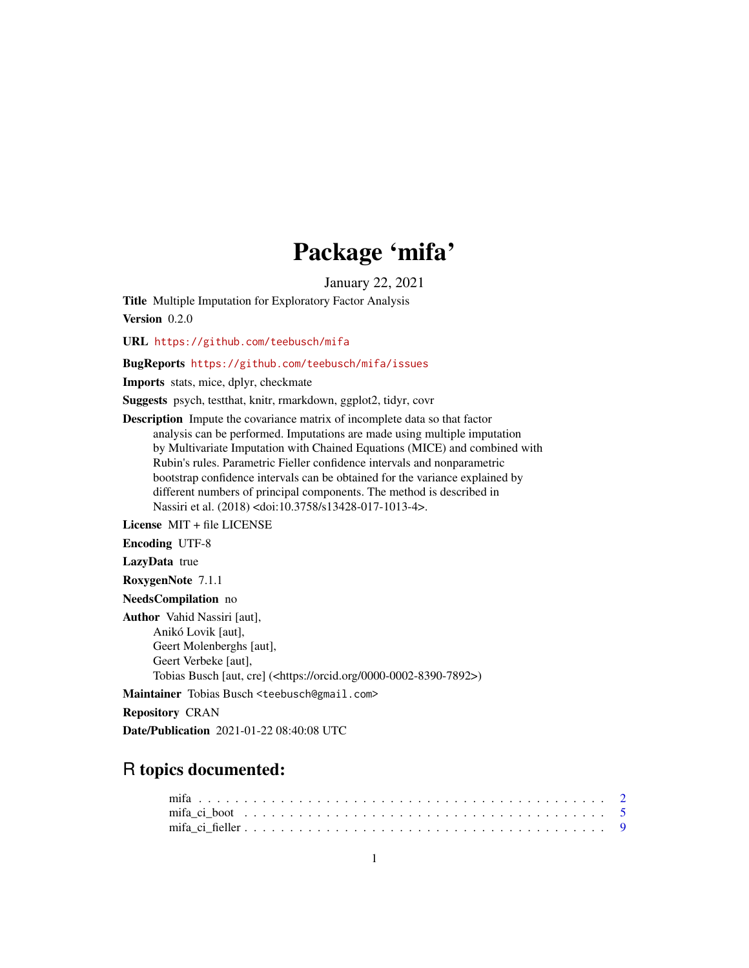## Package 'mifa'

January 22, 2021

<span id="page-0-0"></span>Title Multiple Imputation for Exploratory Factor Analysis Version 0.2.0

URL <https://github.com/teebusch/mifa>

#### BugReports <https://github.com/teebusch/mifa/issues>

Imports stats, mice, dplyr, checkmate

Suggests psych, testthat, knitr, rmarkdown, ggplot2, tidyr, covr

Description Impute the covariance matrix of incomplete data so that factor analysis can be performed. Imputations are made using multiple imputation by Multivariate Imputation with Chained Equations (MICE) and combined with Rubin's rules. Parametric Fieller confidence intervals and nonparametric bootstrap confidence intervals can be obtained for the variance explained by different numbers of principal components. The method is described in Nassiri et al. (2018) <doi:10.3758/s13428-017-1013-4>.

License MIT + file LICENSE

Encoding UTF-8

LazyData true

RoxygenNote 7.1.1

NeedsCompilation no

Author Vahid Nassiri [aut], Anikó Lovik [aut], Geert Molenberghs [aut], Geert Verbeke [aut], Tobias Busch [aut, cre] (<https://orcid.org/0000-0002-8390-7892>)

Maintainer Tobias Busch <teebusch@gmail.com>

Repository CRAN

Date/Publication 2021-01-22 08:40:08 UTC

### R topics documented: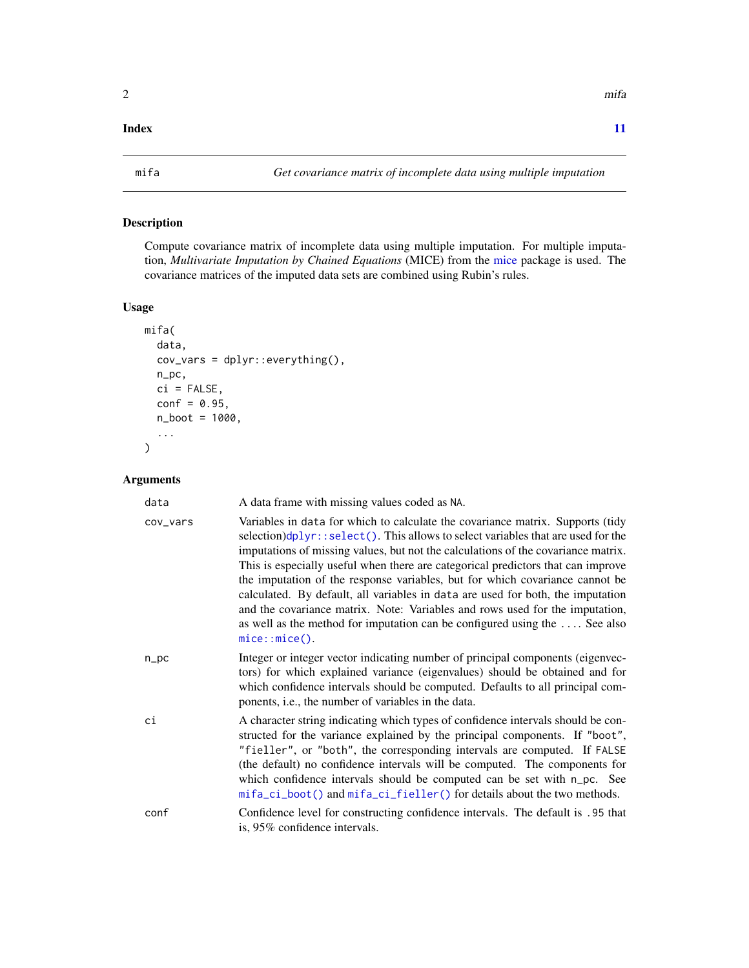#### <span id="page-1-0"></span>**Index** [11](#page-10-0)

<span id="page-1-1"></span>

#### Description

Compute covariance matrix of incomplete data using multiple imputation. For multiple imputation, *Multivariate Imputation by Chained Equations* (MICE) from the [mice](#page-0-0) package is used. The covariance matrices of the imputed data sets are combined using Rubin's rules.

#### Usage

```
mifa(
 data,
 cov_vars = dplyr::everything(),
 n_pc,
 ci = FALSE,conf = 0.95,n_boot = 1000,
  ...
)
```
#### Arguments

| data     | A data frame with missing values coded as NA.                                                                                                                                                                                                                                                                                                                                                                                                                                                                                                                                                                                                                                                    |
|----------|--------------------------------------------------------------------------------------------------------------------------------------------------------------------------------------------------------------------------------------------------------------------------------------------------------------------------------------------------------------------------------------------------------------------------------------------------------------------------------------------------------------------------------------------------------------------------------------------------------------------------------------------------------------------------------------------------|
| cov_vars | Variables in data for which to calculate the covariance matrix. Supports (tidy<br>selection)dplyr::select(). This allows to select variables that are used for the<br>imputations of missing values, but not the calculations of the covariance matrix.<br>This is especially useful when there are categorical predictors that can improve<br>the imputation of the response variables, but for which covariance cannot be<br>calculated. By default, all variables in data are used for both, the imputation<br>and the covariance matrix. Note: Variables and rows used for the imputation,<br>as well as the method for imputation can be configured using the  See also<br>$mice::mice()$ . |
| n_pc     | Integer or integer vector indicating number of principal components (eigenvec-<br>tors) for which explained variance (eigenvalues) should be obtained and for<br>which confidence intervals should be computed. Defaults to all principal com-<br>ponents, <i>i.e.</i> , the number of variables in the data.                                                                                                                                                                                                                                                                                                                                                                                    |
| сi       | A character string indicating which types of confidence intervals should be con-<br>structed for the variance explained by the principal components. If "boot",<br>"fieller", or "both", the corresponding intervals are computed. If FALSE<br>(the default) no confidence intervals will be computed. The components for<br>which confidence intervals should be computed can be set with n_pc. See<br>mifa_ci_boot() and mifa_ci_fieller() for details about the two methods.                                                                                                                                                                                                                  |
| conf     | Confidence level for constructing confidence intervals. The default is .95 that<br>is, 95% confidence intervals.                                                                                                                                                                                                                                                                                                                                                                                                                                                                                                                                                                                 |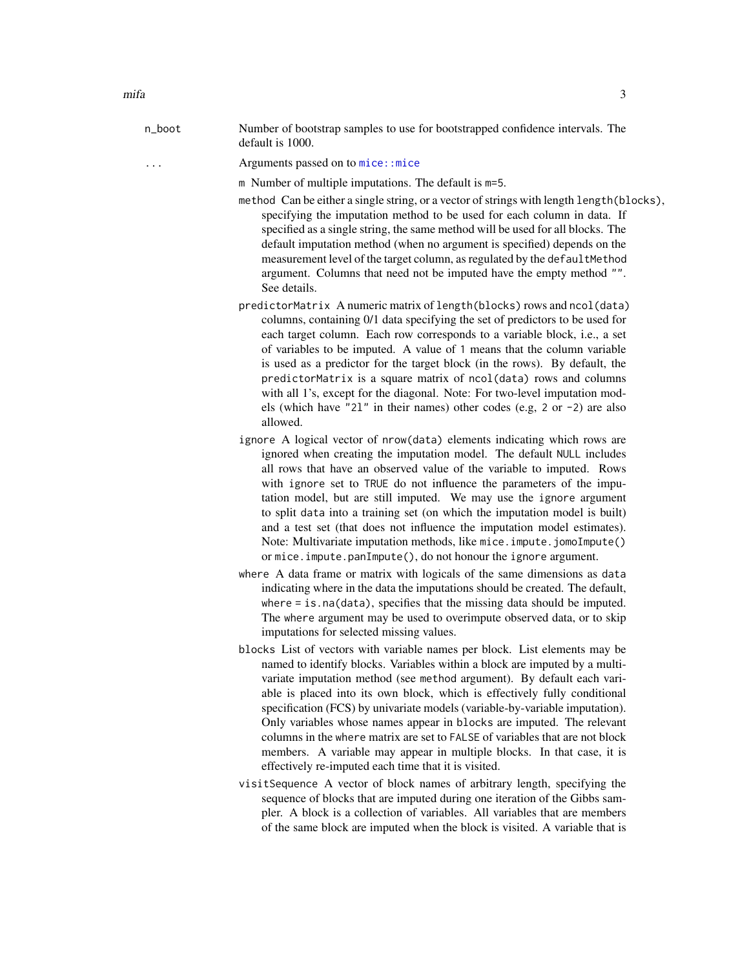<span id="page-2-0"></span>n\_boot Number of bootstrap samples to use for bootstrapped confidence intervals. The default is 1000.

... Arguments passed on to mice: : mice

m Number of multiple imputations. The default is m=5.

- method Can be either a single string, or a vector of strings with length length(blocks), specifying the imputation method to be used for each column in data. If specified as a single string, the same method will be used for all blocks. The default imputation method (when no argument is specified) depends on the measurement level of the target column, as regulated by the defaultMethod argument. Columns that need not be imputed have the empty method "". See details.
- predictorMatrix A numeric matrix of length(blocks) rows and ncol(data) columns, containing 0/1 data specifying the set of predictors to be used for each target column. Each row corresponds to a variable block, i.e., a set of variables to be imputed. A value of 1 means that the column variable is used as a predictor for the target block (in the rows). By default, the predictorMatrix is a square matrix of ncol(data) rows and columns with all 1's, except for the diagonal. Note: For two-level imputation models (which have "2l" in their names) other codes (e.g, 2 or -2) are also allowed.
- ignore A logical vector of nrow(data) elements indicating which rows are ignored when creating the imputation model. The default NULL includes all rows that have an observed value of the variable to imputed. Rows with ignore set to TRUE do not influence the parameters of the imputation model, but are still imputed. We may use the ignore argument to split data into a training set (on which the imputation model is built) and a test set (that does not influence the imputation model estimates). Note: Multivariate imputation methods, like mice. impute. jomoImpute() or mice.impute.panImpute(), do not honour the ignore argument.
- where A data frame or matrix with logicals of the same dimensions as data indicating where in the data the imputations should be created. The default, where = is.na(data), specifies that the missing data should be imputed. The where argument may be used to overimpute observed data, or to skip imputations for selected missing values.
- blocks List of vectors with variable names per block. List elements may be named to identify blocks. Variables within a block are imputed by a multivariate imputation method (see method argument). By default each variable is placed into its own block, which is effectively fully conditional specification (FCS) by univariate models (variable-by-variable imputation). Only variables whose names appear in blocks are imputed. The relevant columns in the where matrix are set to FALSE of variables that are not block members. A variable may appear in multiple blocks. In that case, it is effectively re-imputed each time that it is visited.
- visitSequence A vector of block names of arbitrary length, specifying the sequence of blocks that are imputed during one iteration of the Gibbs sampler. A block is a collection of variables. All variables that are members of the same block are imputed when the block is visited. A variable that is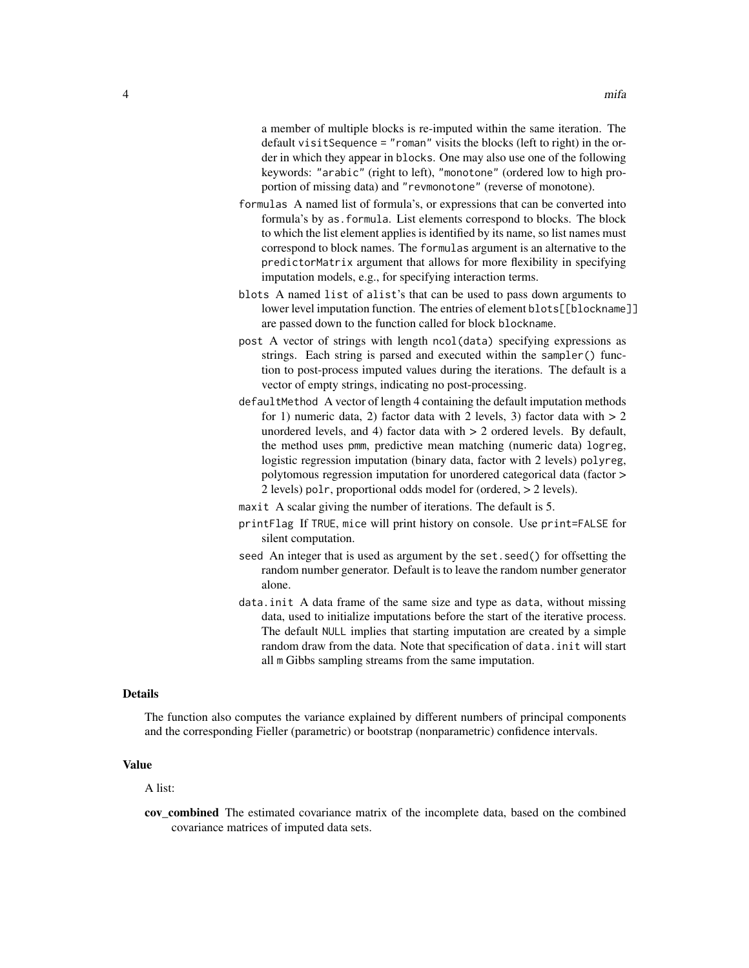a member of multiple blocks is re-imputed within the same iteration. The default visitSequence = "roman" visits the blocks (left to right) in the order in which they appear in blocks. One may also use one of the following keywords: "arabic" (right to left), "monotone" (ordered low to high proportion of missing data) and "revmonotone" (reverse of monotone).

- formulas A named list of formula's, or expressions that can be converted into formula's by as.formula. List elements correspond to blocks. The block to which the list element applies is identified by its name, so list names must correspond to block names. The formulas argument is an alternative to the predictorMatrix argument that allows for more flexibility in specifying imputation models, e.g., for specifying interaction terms.
- blots A named list of alist's that can be used to pass down arguments to lower level imputation function. The entries of element blots[[blockname]] are passed down to the function called for block blockname.
- post A vector of strings with length ncol(data) specifying expressions as strings. Each string is parsed and executed within the sampler() function to post-process imputed values during the iterations. The default is a vector of empty strings, indicating no post-processing.
- defaultMethod A vector of length 4 containing the default imputation methods for 1) numeric data, 2) factor data with 2 levels, 3) factor data with  $> 2$ unordered levels, and 4) factor data with > 2 ordered levels. By default, the method uses pmm, predictive mean matching (numeric data) logreg, logistic regression imputation (binary data, factor with 2 levels) polyreg, polytomous regression imputation for unordered categorical data (factor > 2 levels) polr, proportional odds model for (ordered, > 2 levels).
- maxit A scalar giving the number of iterations. The default is 5.
- printFlag If TRUE, mice will print history on console. Use print=FALSE for silent computation.
- seed An integer that is used as argument by the set.seed() for offsetting the random number generator. Default is to leave the random number generator alone.
- data.init A data frame of the same size and type as data, without missing data, used to initialize imputations before the start of the iterative process. The default NULL implies that starting imputation are created by a simple random draw from the data. Note that specification of data.init will start all m Gibbs sampling streams from the same imputation.

#### Details

The function also computes the variance explained by different numbers of principal components and the corresponding Fieller (parametric) or bootstrap (nonparametric) confidence intervals.

#### Value

A list:

cov\_combined The estimated covariance matrix of the incomplete data, based on the combined covariance matrices of imputed data sets.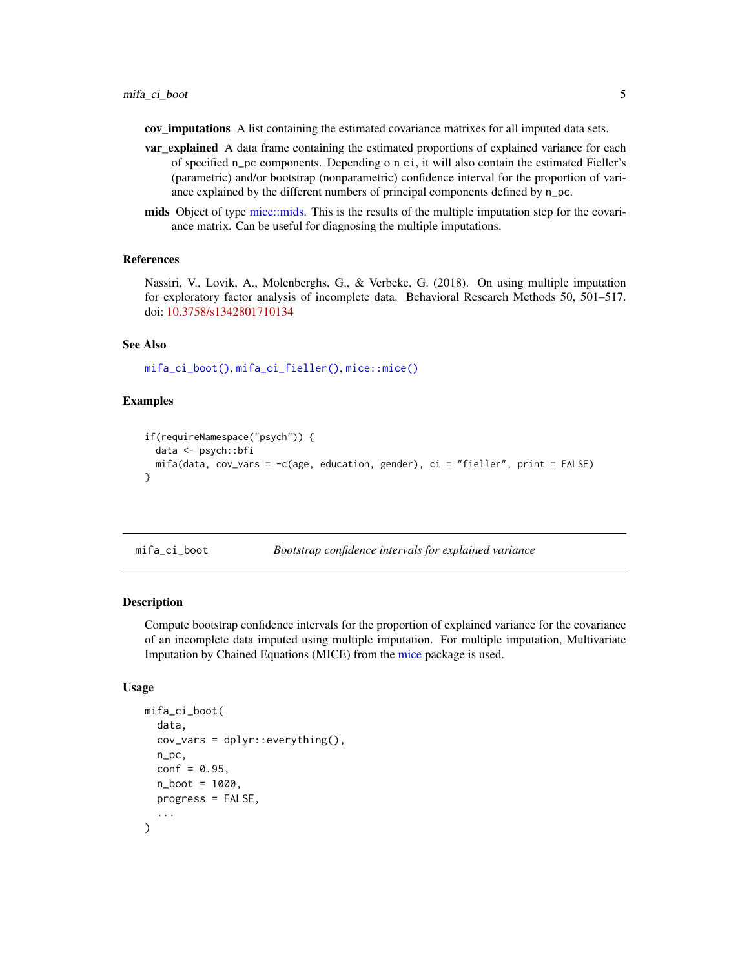<span id="page-4-0"></span>cov\_imputations A list containing the estimated covariance matrixes for all imputed data sets.

- var\_explained A data frame containing the estimated proportions of explained variance for each of specified n\_pc components. Depending o n ci, it will also contain the estimated Fieller's (parametric) and/or bootstrap (nonparametric) confidence interval for the proportion of variance explained by the different numbers of principal components defined by n\_pc.
- mids Object of type [mice::mids.](#page-0-0) This is the results of the multiple imputation step for the covariance matrix. Can be useful for diagnosing the multiple imputations.

#### References

Nassiri, V., Lovik, A., Molenberghs, G., & Verbeke, G. (2018). On using multiple imputation for exploratory factor analysis of incomplete data. Behavioral Research Methods 50, 501–517. doi: [10.3758/s1342801710134](https://doi.org/10.3758/s13428-017-1013-4)

#### See Also

[mifa\\_ci\\_boot\(\)](#page-4-1), [mifa\\_ci\\_fieller\(\)](#page-8-1), [mice::mice\(\)](#page-0-0)

#### Examples

```
if(requireNamespace("psych")) {
 data <- psych::bfi
 mifa(data, cov_vars = -c(age, education, gender), ci = "fieller", print = FALSE)
}
```
<span id="page-4-1"></span>mifa\_ci\_boot *Bootstrap confidence intervals for explained variance*

#### Description

Compute bootstrap confidence intervals for the proportion of explained variance for the covariance of an incomplete data imputed using multiple imputation. For multiple imputation, Multivariate Imputation by Chained Equations (MICE) from the [mice](#page-0-0) package is used.

#### Usage

```
mifa_ci_boot(
  data,
  cov_vars = dplyr::everything(),
  n_pc,
  conf = 0.95,
  n\_boot = 1000,
  progress = FALSE,
  ...
)
```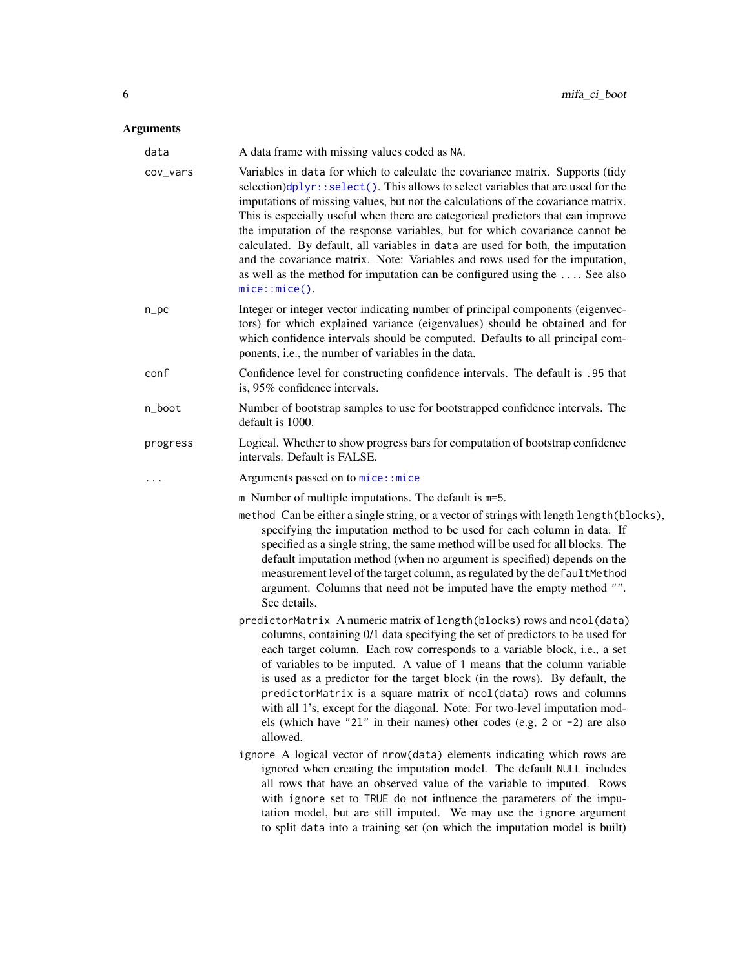#### <span id="page-5-0"></span>Arguments

| data     | A data frame with missing values coded as NA.                                                                                                                                                                                                                                                                                                                                                                                                                                                                                                                                                                                                                                                                    |
|----------|------------------------------------------------------------------------------------------------------------------------------------------------------------------------------------------------------------------------------------------------------------------------------------------------------------------------------------------------------------------------------------------------------------------------------------------------------------------------------------------------------------------------------------------------------------------------------------------------------------------------------------------------------------------------------------------------------------------|
| cov_vars | Variables in data for which to calculate the covariance matrix. Supports (tidy<br>$selection)$ dplyr:: $select()$ . This allows to select variables that are used for the<br>imputations of missing values, but not the calculations of the covariance matrix.<br>This is especially useful when there are categorical predictors that can improve<br>the imputation of the response variables, but for which covariance cannot be<br>calculated. By default, all variables in data are used for both, the imputation<br>and the covariance matrix. Note: Variables and rows used for the imputation,<br>as well as the method for imputation can be configured using the $\dots$ . See also<br>$mice::mice()$ . |
| $n\_pc$  | Integer or integer vector indicating number of principal components (eigenvec-<br>tors) for which explained variance (eigenvalues) should be obtained and for<br>which confidence intervals should be computed. Defaults to all principal com-<br>ponents, i.e., the number of variables in the data.                                                                                                                                                                                                                                                                                                                                                                                                            |
| conf     | Confidence level for constructing confidence intervals. The default is .95 that<br>is, 95% confidence intervals.                                                                                                                                                                                                                                                                                                                                                                                                                                                                                                                                                                                                 |
| n_boot   | Number of bootstrap samples to use for bootstrapped confidence intervals. The<br>default is 1000.                                                                                                                                                                                                                                                                                                                                                                                                                                                                                                                                                                                                                |
| progress | Logical. Whether to show progress bars for computation of bootstrap confidence<br>intervals. Default is FALSE.                                                                                                                                                                                                                                                                                                                                                                                                                                                                                                                                                                                                   |
|          | Arguments passed on to mice:: mice                                                                                                                                                                                                                                                                                                                                                                                                                                                                                                                                                                                                                                                                               |
|          | m Number of multiple imputations. The default is m=5.<br>method Can be either a single string, or a vector of strings with length length (blocks),<br>specifying the imputation method to be used for each column in data. If<br>specified as a single string, the same method will be used for all blocks. The<br>default imputation method (when no argument is specified) depends on the<br>measurement level of the target column, as regulated by the defaultMethod<br>argument. Columns that need not be imputed have the empty method "".<br>See details.                                                                                                                                                 |
|          | predictorMatrix A numeric matrix of length (blocks) rows and ncol (data)<br>columns, containing 0/1 data specifying the set of predictors to be used for<br>each target column. Each row corresponds to a variable block, i.e., a set<br>of variables to be imputed. A value of 1 means that the column variable<br>is used as a predictor for the target block (in the rows). By default, the<br>predictorMatrix is a square matrix of ncol(data) rows and columns<br>with all 1's, except for the diagonal. Note: For two-level imputation mod-<br>els (which have "21" in their names) other codes (e.g, 2 or $-2$ ) are also<br>allowed.                                                                     |
|          | ignore A logical vector of nrow(data) elements indicating which rows are<br>ignored when creating the imputation model. The default NULL includes<br>all rows that have an observed value of the variable to imputed. Rows<br>with ignore set to TRUE do not influence the parameters of the impu-<br>tation model, but are still imputed. We may use the ignore argument<br>to split data into a training set (on which the imputation model is built)                                                                                                                                                                                                                                                          |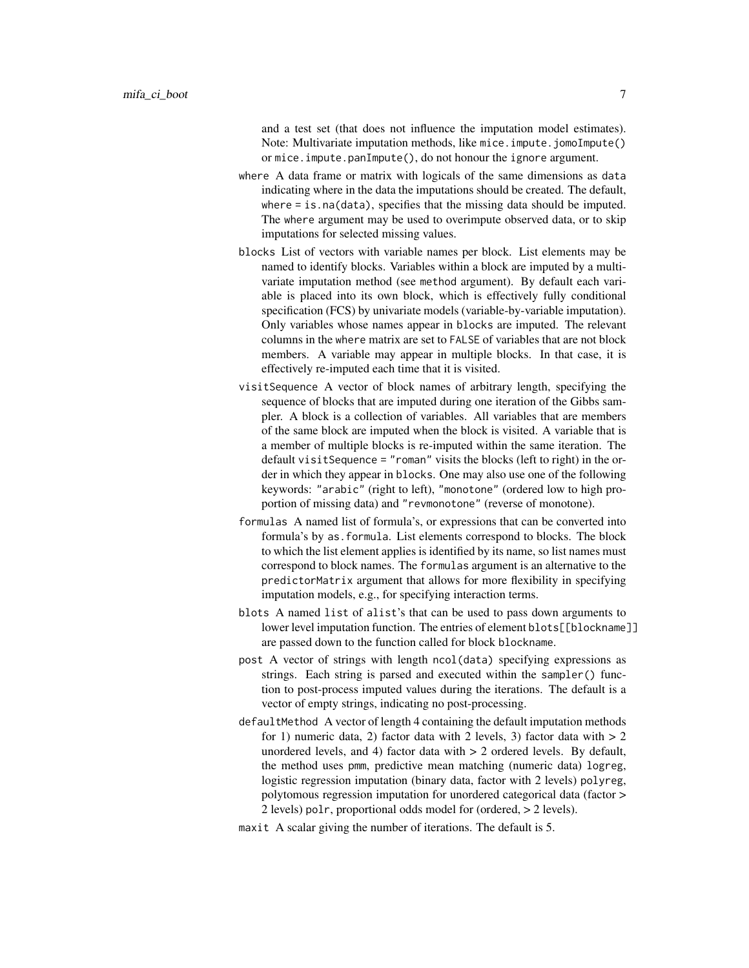and a test set (that does not influence the imputation model estimates). Note: Multivariate imputation methods, like mice. impute. jomoImpute() or mice.impute.panImpute(), do not honour the ignore argument.

- where A data frame or matrix with logicals of the same dimensions as data indicating where in the data the imputations should be created. The default, where  $=$  is.na(data), specifies that the missing data should be imputed. The where argument may be used to overimpute observed data, or to skip imputations for selected missing values.
- blocks List of vectors with variable names per block. List elements may be named to identify blocks. Variables within a block are imputed by a multivariate imputation method (see method argument). By default each variable is placed into its own block, which is effectively fully conditional specification (FCS) by univariate models (variable-by-variable imputation). Only variables whose names appear in blocks are imputed. The relevant columns in the where matrix are set to FALSE of variables that are not block members. A variable may appear in multiple blocks. In that case, it is effectively re-imputed each time that it is visited.
- visitSequence A vector of block names of arbitrary length, specifying the sequence of blocks that are imputed during one iteration of the Gibbs sampler. A block is a collection of variables. All variables that are members of the same block are imputed when the block is visited. A variable that is a member of multiple blocks is re-imputed within the same iteration. The default visitSequence = "roman" visits the blocks (left to right) in the order in which they appear in blocks. One may also use one of the following keywords: "arabic" (right to left), "monotone" (ordered low to high proportion of missing data) and "revmonotone" (reverse of monotone).
- formulas A named list of formula's, or expressions that can be converted into formula's by as.formula. List elements correspond to blocks. The block to which the list element applies is identified by its name, so list names must correspond to block names. The formulas argument is an alternative to the predictorMatrix argument that allows for more flexibility in specifying imputation models, e.g., for specifying interaction terms.
- blots A named list of alist's that can be used to pass down arguments to lower level imputation function. The entries of element blots[[blockname]] are passed down to the function called for block blockname.
- post A vector of strings with length ncol(data) specifying expressions as strings. Each string is parsed and executed within the sampler() function to post-process imputed values during the iterations. The default is a vector of empty strings, indicating no post-processing.
- defaultMethod A vector of length 4 containing the default imputation methods for 1) numeric data, 2) factor data with 2 levels, 3) factor data with  $> 2$ unordered levels, and 4) factor data with  $> 2$  ordered levels. By default, the method uses pmm, predictive mean matching (numeric data) logreg, logistic regression imputation (binary data, factor with 2 levels) polyreg, polytomous regression imputation for unordered categorical data (factor > 2 levels) polr, proportional odds model for (ordered, > 2 levels).
- maxit A scalar giving the number of iterations. The default is 5.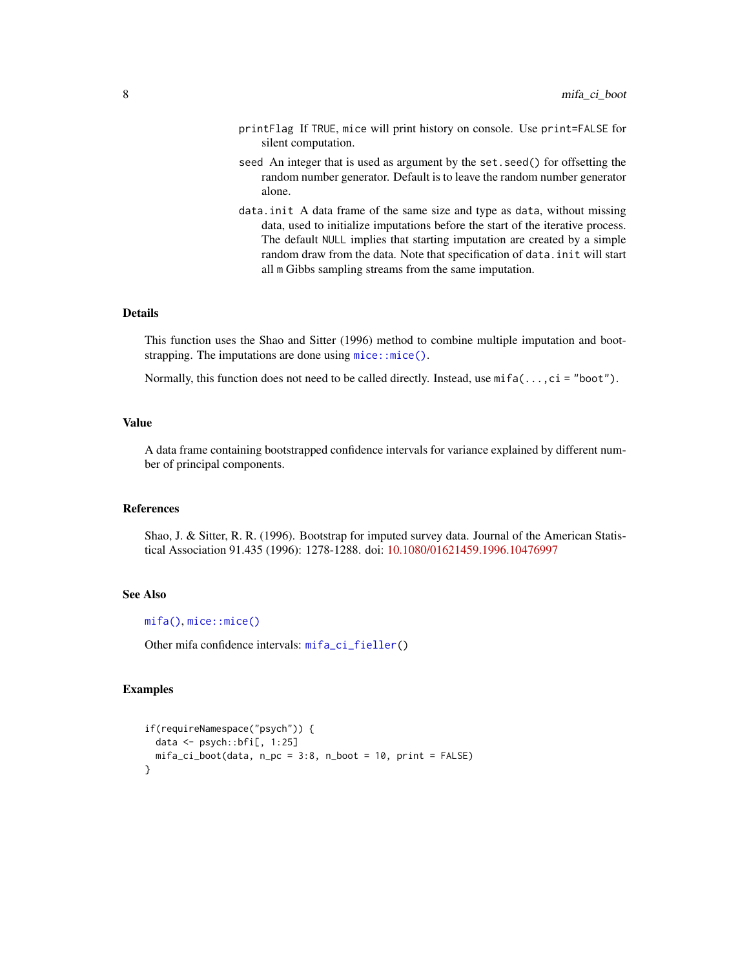- <span id="page-7-0"></span>printFlag If TRUE, mice will print history on console. Use print=FALSE for silent computation.
- seed An integer that is used as argument by the set.seed() for offsetting the random number generator. Default is to leave the random number generator alone.
- data.init A data frame of the same size and type as data, without missing data, used to initialize imputations before the start of the iterative process. The default NULL implies that starting imputation are created by a simple random draw from the data. Note that specification of data.init will start all m Gibbs sampling streams from the same imputation.

#### Details

This function uses the Shao and Sitter (1996) method to combine multiple imputation and bootstrapping. The imputations are done using  $mice::mice()$ .

Normally, this function does not need to be called directly. Instead, use  $mif a(...,ci = "boot").$ 

#### Value

A data frame containing bootstrapped confidence intervals for variance explained by different number of principal components.

#### References

Shao, J. & Sitter, R. R. (1996). Bootstrap for imputed survey data. Journal of the American Statistical Association 91.435 (1996): 1278-1288. doi: [10.1080/01621459.1996.10476997](https://doi.org/10.1080/01621459.1996.10476997)

#### See Also

[mifa\(\)](#page-1-1), [mice::mice\(\)](#page-0-0)

Other mifa confidence intervals: [mifa\\_ci\\_fieller\(](#page-8-1))

#### Examples

```
if(requireNamespace("psych")) {
 data \leq psych::bfi[, 1:25]
 mifa_ci_boot(data, n_pc = 3:8, n_boot = 10, print = FALSE)
}
```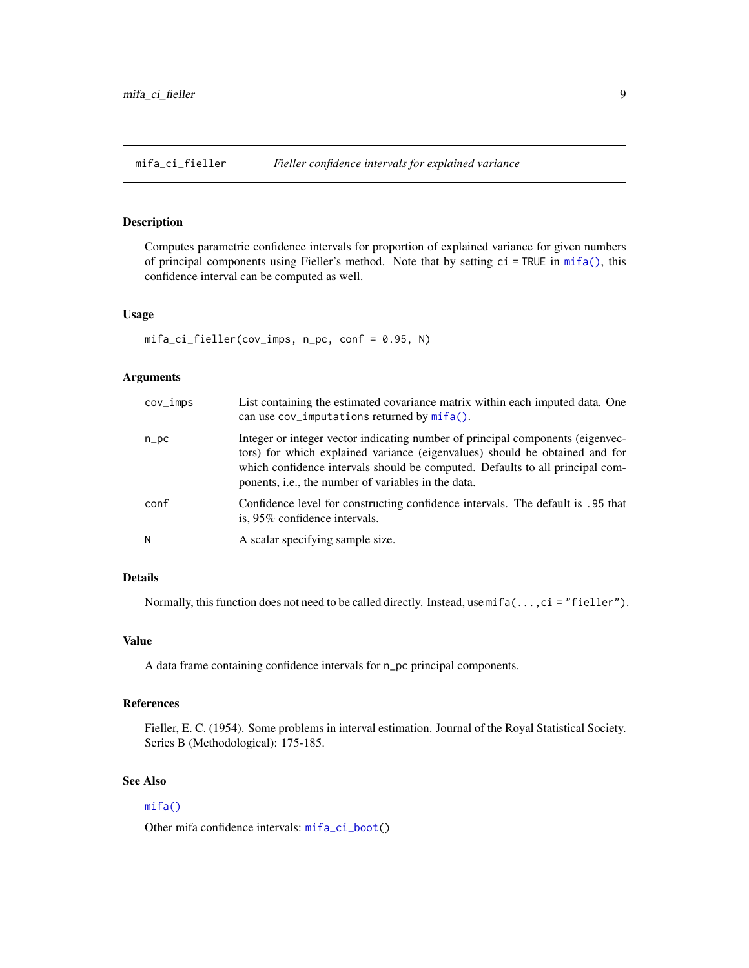<span id="page-8-1"></span><span id="page-8-0"></span>mifa\_ci\_fieller *Fieller confidence intervals for explained variance*

#### Description

Computes parametric confidence intervals for proportion of explained variance for given numbers of principal components using Fieller's method. Note that by setting ci = TRUE in [mifa\(\)](#page-1-1), this confidence interval can be computed as well.

#### Usage

```
mifa_ci_fieller(cov_imps, n_pc, conf = 0.95, N)
```
#### Arguments

| cov_imps | List containing the estimated covariance matrix within each imputed data. One<br>can use $cov_i$ imputations returned by $mif_a()$ .                                                                                                                                                                          |
|----------|---------------------------------------------------------------------------------------------------------------------------------------------------------------------------------------------------------------------------------------------------------------------------------------------------------------|
| n_pc     | Integer or integer vector indicating number of principal components (eigenvec-<br>tors) for which explained variance (eigenvalues) should be obtained and for<br>which confidence intervals should be computed. Defaults to all principal com-<br>ponents, <i>i.e.</i> , the number of variables in the data. |
| conf     | Confidence level for constructing confidence intervals. The default is .95 that<br>is, 95% confidence intervals.                                                                                                                                                                                              |
| Ν        | A scalar specifying sample size.                                                                                                                                                                                                                                                                              |

#### Details

Normally, this function does not need to be called directly. Instead, use mifa(...,ci = "fieller").

#### Value

A data frame containing confidence intervals for n\_pc principal components.

#### References

Fieller, E. C. (1954). Some problems in interval estimation. Journal of the Royal Statistical Society. Series B (Methodological): 175-185.

#### See Also

#### [mifa\(\)](#page-1-1)

Other mifa confidence intervals: [mifa\\_ci\\_boot\(](#page-4-1))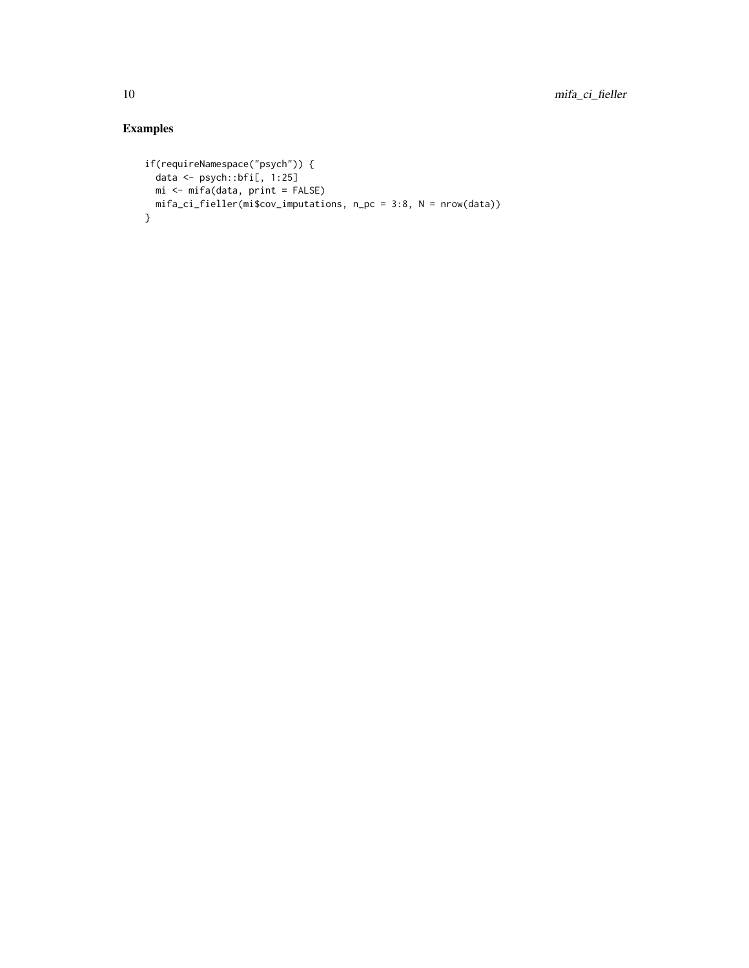#### Examples

```
if(requireNamespace("psych")) {
  data <- psych::bfi[, 1:25]
 mi <- mifa(data, print = FALSE)
 mifa_ci_fieller(mi$cov_imputations, n_pc = 3:8, N = nrow(data))
}
```